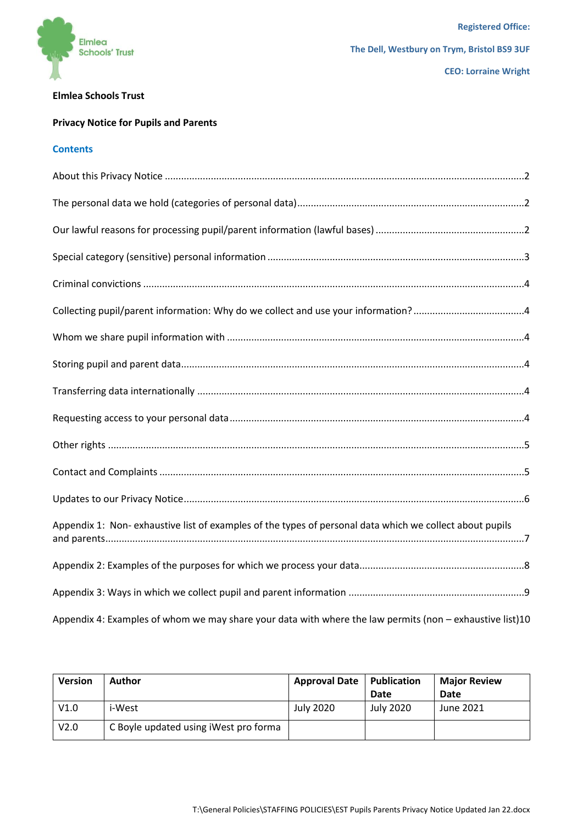

## **Elmlea Schools Trust**

# **Privacy Notice for Pupils and Parents**

## **Contents**

| Appendix 1: Non-exhaustive list of examples of the types of personal data which we collect about pupils  |
|----------------------------------------------------------------------------------------------------------|
|                                                                                                          |
|                                                                                                          |
| Appendix 4: Examples of whom we may share your data with where the law permits (non - exhaustive list)10 |

<span id="page-0-0"></span>

| <b>Version</b> | Author                                | <b>Approval Date</b> | Publication | <b>Major Review</b> |
|----------------|---------------------------------------|----------------------|-------------|---------------------|
|                |                                       |                      | Date        | Date                |
| V1.0           | i-West                                | July 2020            | July 2020   | June 2021           |
| V2.0           | C Boyle updated using iWest pro forma |                      |             |                     |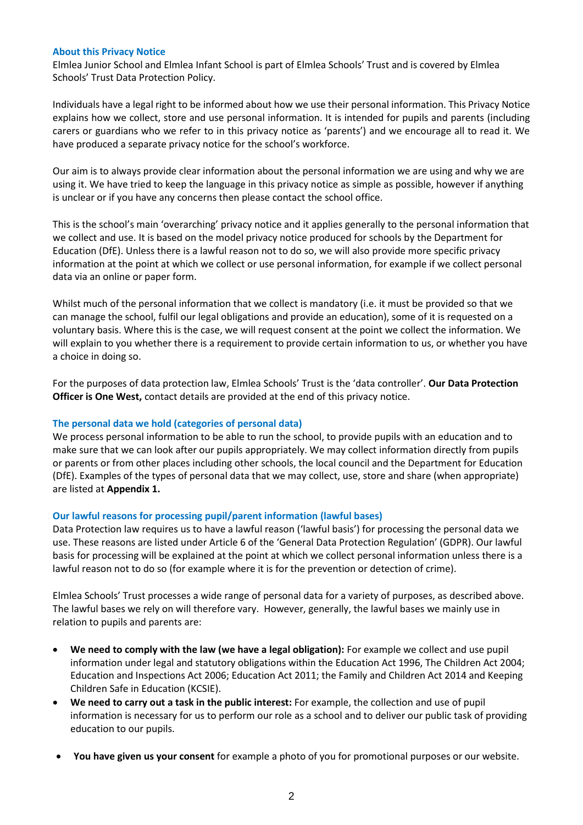### **About this Privacy Notice**

Elmlea Junior School and Elmlea Infant School is part of Elmlea Schools' Trust and is covered by Elmlea Schools' Trust Data Protection Policy.

Individuals have a legal right to be informed about how we use their personal information. This Privacy Notice explains how we collect, store and use personal information. It is intended for pupils and parents (including carers or guardians who we refer to in this privacy notice as 'parents') and we encourage all to read it. We have produced a separate privacy notice for the school's workforce.

Our aim is to always provide clear information about the personal information we are using and why we are using it. We have tried to keep the language in this privacy notice as simple as possible, however if anything is unclear or if you have any concerns then please contact the school office.

This is the school's main 'overarching' privacy notice and it applies generally to the personal information that we collect and use. It is based on the model privacy notice produced for schools by the Department for Education (DfE). Unless there is a lawful reason not to do so, we will also provide more specific privacy information at the point at which we collect or use personal information, for example if we collect personal data via an online or paper form.

Whilst much of the personal information that we collect is mandatory (i.e. it must be provided so that we can manage the school, fulfil our legal obligations and provide an education), some of it is requested on a voluntary basis. Where this is the case, we will request consent at the point we collect the information. We will explain to you whether there is a requirement to provide certain information to us, or whether you have a choice in doing so.

For the purposes of data protection law, Elmlea Schools' Trust is the 'data controller'. **Our Data Protection Officer is One West,** contact details are provided at the end of this privacy notice.

## <span id="page-1-0"></span>**The personal data we hold (categories of personal data)**

We process personal information to be able to run the school, to provide pupils with an education and to make sure that we can look after our pupils appropriately. We may collect information directly from pupils or parents or from other places including other schools, the local council and the Department for Education (DfE). Examples of the types of personal data that we may collect, use, store and share (when appropriate) are listed at **Appendix 1.**

## <span id="page-1-1"></span>**Our lawful reasons for processing pupil/parent information (lawful bases)**

Data Protection law requires us to have a lawful reason ('lawful basis') for processing the personal data we use. These reasons are listed under Article 6 of the 'General Data Protection Regulation' (GDPR). Our lawful basis for processing will be explained at the point at which we collect personal information unless there is a lawful reason not to do so (for example where it is for the prevention or detection of crime).

Elmlea Schools' Trust processes a wide range of personal data for a variety of purposes, as described above. The lawful bases we rely on will therefore vary. However, generally, the lawful bases we mainly use in relation to pupils and parents are:

- **We need to comply with the law (we have a legal obligation):** For example we collect and use pupil information under legal and statutory obligations within the Education Act 1996, The Children Act 2004; Education and Inspections Act 2006; Education Act 2011; the Family and Children Act 2014 and Keeping Children Safe in Education (KCSIE).
- **We need to carry out a task in the public interest:** For example, the collection and use of pupil information is necessary for us to perform our role as a school and to deliver our public task of providing education to our pupils.
- **You have given us your consent** for example a photo of you for promotional purposes or our website.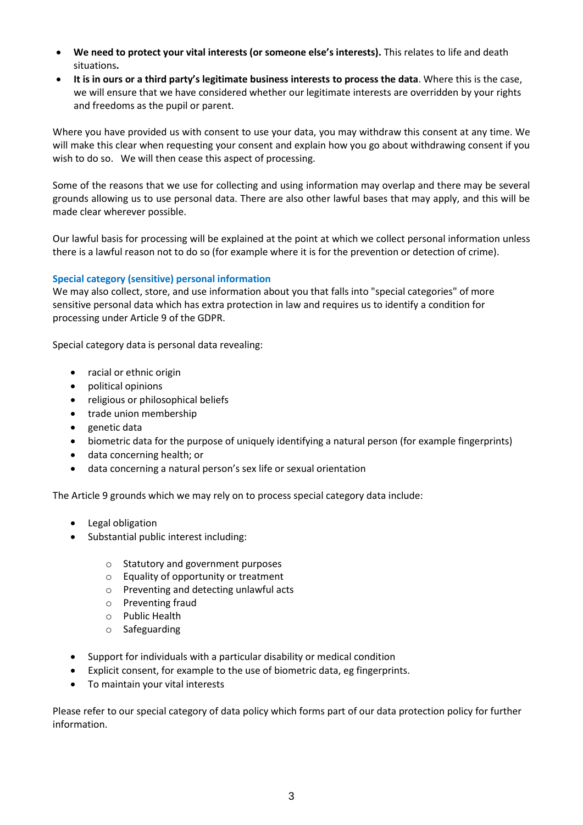- **We need to protect your vital interests (or someone else's interests).** This relates to life and death situations**.**
- **It is in ours or a third party's legitimate business interests to process the data**. Where this is the case, we will ensure that we have considered whether our legitimate interests are overridden by your rights and freedoms as the pupil or parent.

Where you have provided us with consent to use your data, you may withdraw this consent at any time. We will make this clear when requesting your consent and explain how you go about withdrawing consent if you wish to do so. We will then cease this aspect of processing.

Some of the reasons that we use for collecting and using information may overlap and there may be several grounds allowing us to use personal data. There are also other lawful bases that may apply, and this will be made clear wherever possible.

Our lawful basis for processing will be explained at the point at which we collect personal information unless there is a lawful reason not to do so (for example where it is for the prevention or detection of crime).

# <span id="page-2-0"></span>**Special category (sensitive) personal information**

We may also collect, store, and use information about you that falls into "special categories" of more sensitive personal data which has extra protection in law and requires us to identify a condition for processing under Article 9 of the GDPR.

Special category data is personal data revealing:

- racial or ethnic origin
- political opinions
- religious or philosophical beliefs
- trade union membership
- genetic data
- biometric data for the purpose of uniquely identifying a natural person (for example fingerprints)
- data concerning health; or
- data concerning a natural person's sex life or sexual orientation

The Article 9 grounds which we may rely on to process special category data include:

- Legal obligation
- Substantial public interest including:
	- o Statutory and government purposes
	- o Equality of opportunity or treatment
	- o Preventing and detecting unlawful acts
	- o Preventing fraud
	- o Public Health
	- o Safeguarding
- Support for individuals with a particular disability or medical condition
- Explicit consent, for example to the use of biometric data, eg fingerprints.
- To maintain your vital interests

Please refer to our special category of data policy which forms part of our data protection policy for further information.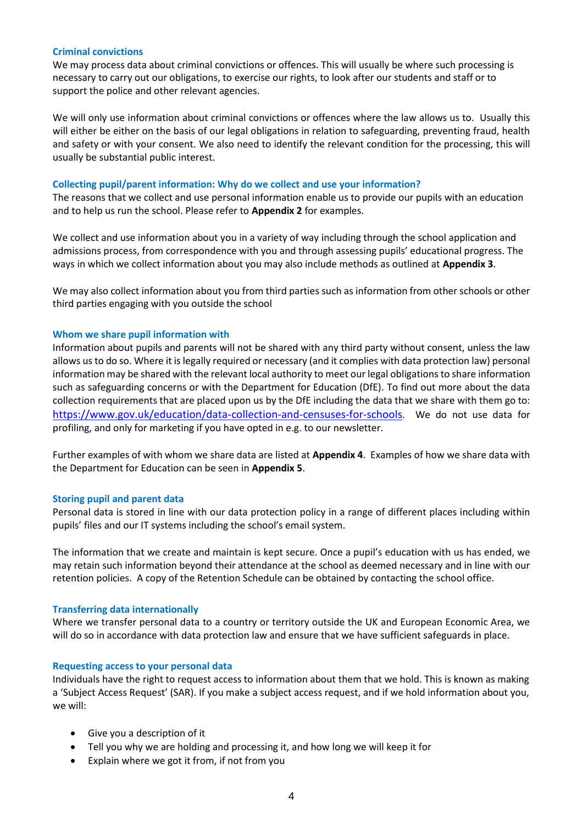### <span id="page-3-0"></span>**Criminal convictions**

We may process data about criminal convictions or offences. This will usually be where such processing is necessary to carry out our obligations, to exercise our rights, to look after our students and staff or to support the police and other relevant agencies.

We will only use information about criminal convictions or offences where the law allows us to. Usually this will either be either on the basis of our legal obligations in relation to safeguarding, preventing fraud, health and safety or with your consent. We also need to identify the relevant condition for the processing, this will usually be substantial public interest.

### <span id="page-3-1"></span>**Collecting pupil/parent information: Why do we collect and use your information?**

The reasons that we collect and use personal information enable us to provide our pupils with an education and to help us run the school. Please refer to **Appendix 2** for examples.

We collect and use information about you in a variety of way including through the school application and admissions process, from correspondence with you and through assessing pupils' educational progress. The ways in which we collect information about you may also include methods as outlined at **Appendix 3**.

We may also collect information about you from third parties such as information from other schools or other third parties engaging with you outside the school

### <span id="page-3-2"></span>**Whom we share pupil information with**

Information about pupils and parents will not be shared with any third party without consent, unless the law allows us to do so. Where it is legally required or necessary (and it complies with data protection law) personal information may be shared with the relevant local authority to meet our legal obligations to share information such as safeguarding concerns or with the Department for Education (DfE). To find out more about the data collection requirements that are placed upon us by the DfE including the data that we share with them go to: <https://www.gov.uk/education/data-collection-and-censuses-for-schools>. We do not use data for profiling, and only for marketing if you have opted in e.g. to our newsletter.

Further examples of with whom we share data are listed at **Appendix 4**. Examples of how we share data with the Department for Education can be seen in **Appendix 5**.

#### <span id="page-3-3"></span>**Storing pupil and parent data**

Personal data is stored in line with our data protection policy in a range of different places including within pupils' files and our IT systems including the school's email system.

The information that we create and maintain is kept secure. Once a pupil's education with us has ended, we may retain such information beyond their attendance at the school as deemed necessary and in line with our retention policies. A copy of the Retention Schedule can be obtained by contacting the school office.

#### <span id="page-3-4"></span>**Transferring data internationally**

Where we transfer personal data to a country or territory outside the UK and European Economic Area, we will do so in accordance with data protection law and ensure that we have sufficient safeguards in place.

#### <span id="page-3-5"></span>**Requesting access to your personal data**

Individuals have the right to request access to information about them that we hold. This is known as making a 'Subject Access Request' (SAR). If you make a subject access request, and if we hold information about you, we will:

- Give you a description of it
- Tell you why we are holding and processing it, and how long we will keep it for
- Explain where we got it from, if not from you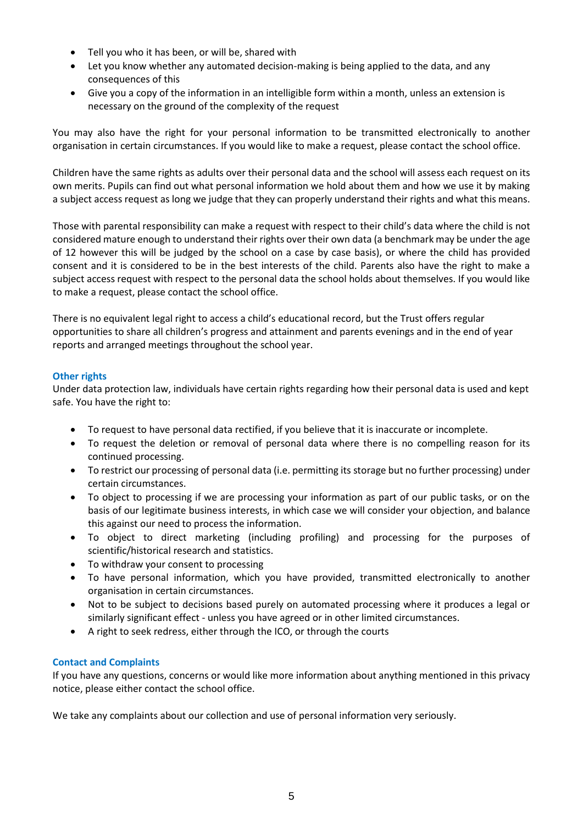- Tell you who it has been, or will be, shared with
- Let you know whether any automated decision-making is being applied to the data, and any consequences of this
- Give you a copy of the information in an intelligible form within a month, unless an extension is necessary on the ground of the complexity of the request

You may also have the right for your personal information to be transmitted electronically to another organisation in certain circumstances. If you would like to make a request, please contact the school office.

Children have the same rights as adults over their personal data and the school will assess each request on its own merits. Pupils can find out what personal information we hold about them and how we use it by making a subject access request as long we judge that they can properly understand their rights and what this means.

Those with parental responsibility can make a request with respect to their child's data where the child is not considered mature enough to understand their rights over their own data (a benchmark may be under the age of 12 however this will be judged by the school on a case by case basis), or where the child has provided consent and it is considered to be in the best interests of the child. Parents also have the right to make a subject access request with respect to the personal data the school holds about themselves. If you would like to make a request, please contact the school office.

There is no equivalent legal right to access a child's educational record, but the Trust offers regular opportunities to share all children's progress and attainment and parents evenings and in the end of year reports and arranged meetings throughout the school year.

# <span id="page-4-0"></span>**Other rights**

Under data protection law, individuals have certain rights regarding how their personal data is used and kept safe. You have the right to:

- To request to have personal data rectified, if you believe that it is inaccurate or incomplete.
- To request the deletion or removal of personal data where there is no compelling reason for its continued processing.
- To restrict our processing of personal data (i.e. permitting its storage but no further processing) under certain circumstances.
- To object to processing if we are processing your information as part of our public tasks, or on the basis of our legitimate business interests, in which case we will consider your objection, and balance this against our need to process the information.
- To object to direct marketing (including profiling) and processing for the purposes of scientific/historical research and statistics.
- To withdraw your consent to processing
- To have personal information, which you have provided, transmitted electronically to another organisation in certain circumstances.
- Not to be subject to decisions based purely on automated processing where it produces a legal or similarly significant effect - unless you have agreed or in other limited circumstances.
- A right to seek redress, either through the ICO, or through the courts

# <span id="page-4-1"></span>**Contact and Complaints**

If you have any questions, concerns or would like more information about anything mentioned in this privacy notice, please either contact the school office.

We take any complaints about our collection and use of personal information very seriously.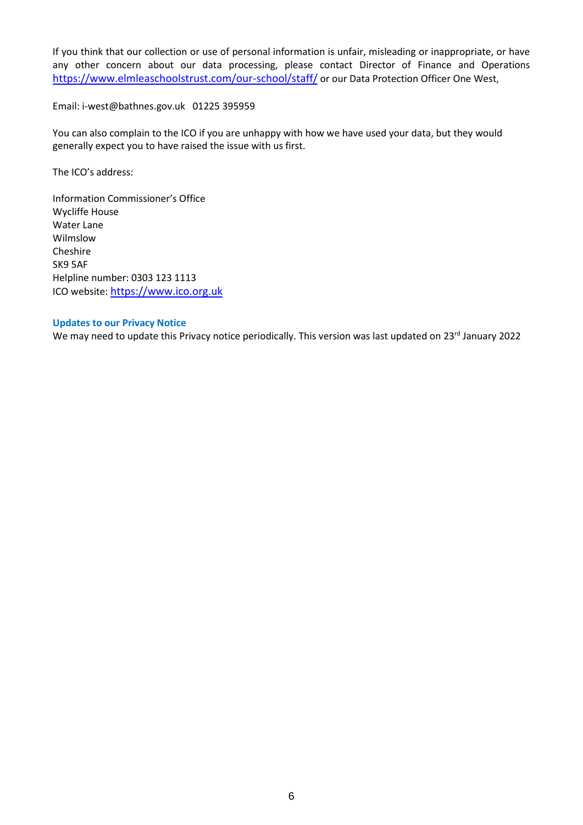If you think that our collection or use of personal information is unfair, misleading or inappropriate, or have any other concern about our data processing, please contact Director of Finance and Operations <https://www.elmleaschoolstrust.com/our-school/staff/> or our Data Protection Officer One West,

Email: i-west@bathnes.gov.uk 01225 395959

You can also complain to the ICO if you are unhappy with how we have used your data, but they would generally expect you to have raised the issue with us first.

The ICO's address:

Information Commissioner's Office Wycliffe House Water Lane Wilmslow Cheshire SK9 5AF Helpline number: 0303 123 1113 ICO website: [https://www.ico.org.uk](https://www.ico.org.uk/)

### <span id="page-5-0"></span>**Updates to our Privacy Notice**

We may need to update this Privacy notice periodically. This version was last updated on 23<sup>rd</sup> January 2022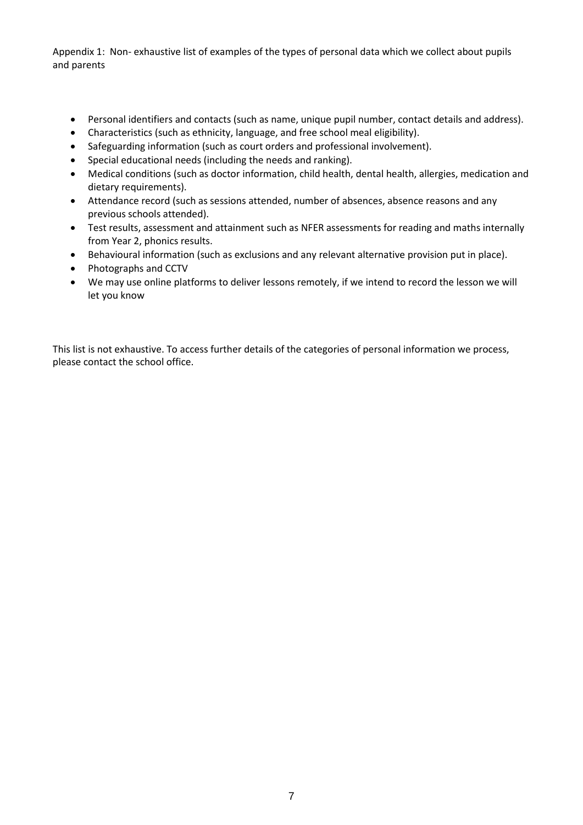<span id="page-6-0"></span>Appendix 1: Non- exhaustive list of examples of the types of personal data which we collect about pupils and parents

- Personal identifiers and contacts (such as name, unique pupil number, contact details and address).
- Characteristics (such as ethnicity, language, and free school meal eligibility).
- Safeguarding information (such as court orders and professional involvement).
- Special educational needs (including the needs and ranking).
- Medical conditions (such as doctor information, child health, dental health, allergies, medication and dietary requirements).
- Attendance record (such as sessions attended, number of absences, absence reasons and any previous schools attended).
- Test results, assessment and attainment such as NFER assessments for reading and maths internally from Year 2, phonics results.
- Behavioural information (such as exclusions and any relevant alternative provision put in place).
- Photographs and CCTV
- We may use online platforms to deliver lessons remotely, if we intend to record the lesson we will let you know

This list is not exhaustive. To access further details of the categories of personal information we process, please contact the school office.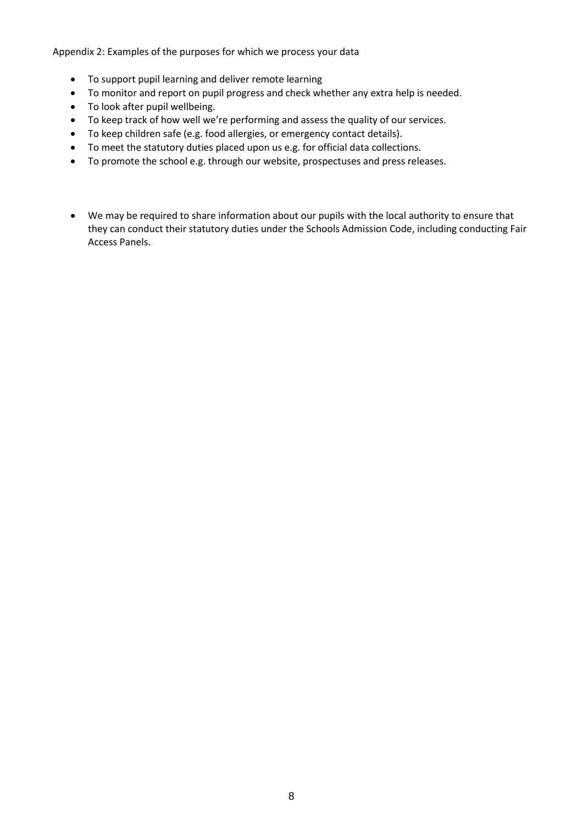<span id="page-7-0"></span>Appendix 2: Examples of the purposes for which we process your data

- To support pupil learning and deliver remote learning
- To monitor and report on pupil progress and check whether any extra help is needed.
- To look after pupil wellbeing.
- To keep track of how well we're performing and assess the quality of our services.
- To keep children safe (e.g. food allergies, or emergency contact details).
- To meet the statutory duties placed upon us e.g. for official data collections.
- To promote the school e.g. through our website, prospectuses and press releases.
- We may be required to share information about our pupils with the local authority to ensure that they can conduct their statutory duties under the Schools Admission Code, including conducting Fair Access Panels.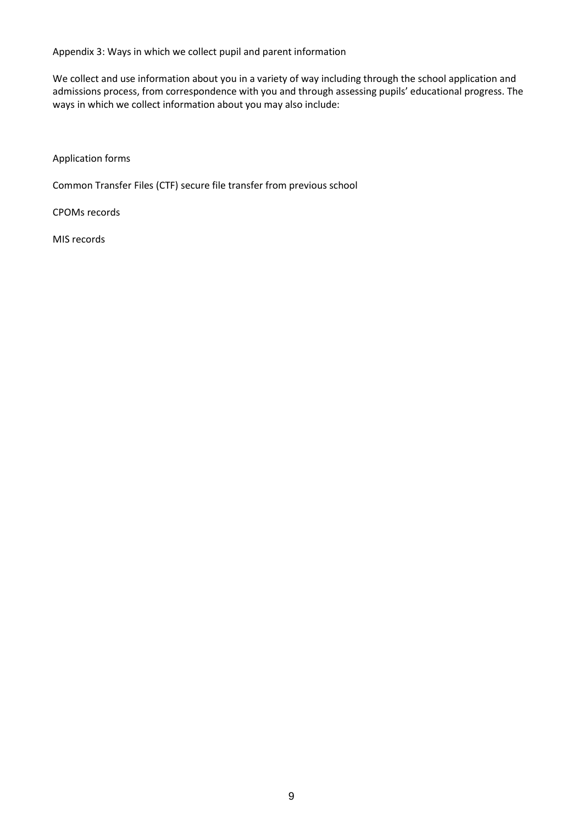<span id="page-8-0"></span>Appendix 3: Ways in which we collect pupil and parent information

We collect and use information about you in a variety of way including through the school application and admissions process, from correspondence with you and through assessing pupils' educational progress. The ways in which we collect information about you may also include:

Application forms

Common Transfer Files (CTF) secure file transfer from previous school

CPOMs records

MIS records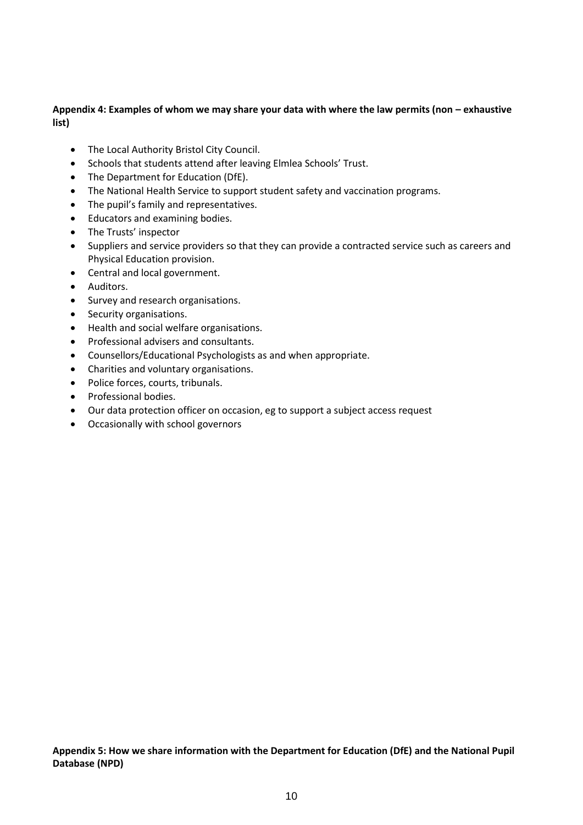# <span id="page-9-0"></span>**Appendix 4: Examples of whom we may share your data with where the law permits (non – exhaustive list)**

- The Local Authority Bristol City Council.
- Schools that students attend after leaving Elmlea Schools' Trust.
- The Department for Education (DfE).
- The National Health Service to support student safety and vaccination programs.
- The pupil's family and representatives.
- Educators and examining bodies.
- The Trusts' inspector
- Suppliers and service providers so that they can provide a contracted service such as careers and Physical Education provision.
- Central and local government.
- Auditors.
- Survey and research organisations.
- Security organisations.
- Health and social welfare organisations.
- Professional advisers and consultants.
- Counsellors/Educational Psychologists as and when appropriate.
- Charities and voluntary organisations.
- Police forces, courts, tribunals.
- Professional bodies.
- Our data protection officer on occasion, eg to support a subject access request
- Occasionally with school governors

**Appendix 5: How we share information with the Department for Education (DfE) and the National Pupil Database (NPD)**